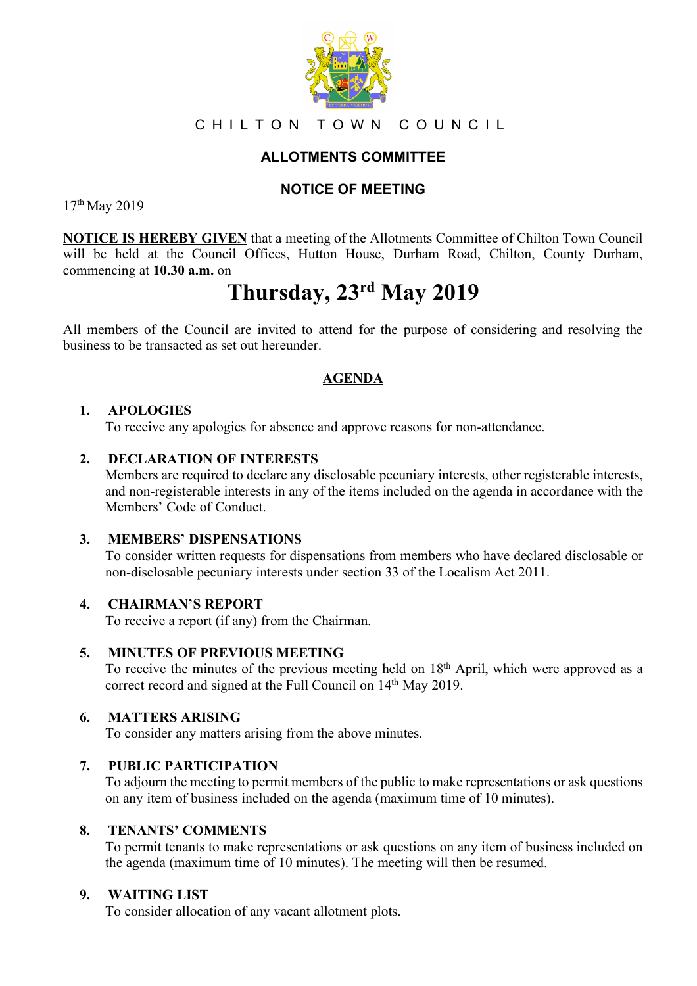

## CHILTON TOWN COUNCIL

# **ALLOTMENTS COMMITTEE**

## **NOTICE OF MEETING**

17th May 2019

**NOTICE IS HEREBY GIVEN** that a meeting of the Allotments Committee of Chilton Town Council will be held at the Council Offices, Hutton House, Durham Road, Chilton, County Durham, commencing at **10.30 a.m.** on

# **Thursday, 23rd May 2019**

All members of the Council are invited to attend for the purpose of considering and resolving the business to be transacted as set out hereunder.

## **AGENDA**

## **1. APOLOGIES**

To receive any apologies for absence and approve reasons for non-attendance.

#### **2. DECLARATION OF INTERESTS**

Members are required to declare any disclosable pecuniary interests, other registerable interests, and non-registerable interests in any of the items included on the agenda in accordance with the Members' Code of Conduct.

#### **3. MEMBERS' DISPENSATIONS**

To consider written requests for dispensations from members who have declared disclosable or non-disclosable pecuniary interests under section 33 of the Localism Act 2011.

#### **4. CHAIRMAN'S REPORT**

To receive a report (if any) from the Chairman.

#### **5. MINUTES OF PREVIOUS MEETING**

To receive the minutes of the previous meeting held on 18<sup>th</sup> April, which were approved as a correct record and signed at the Full Council on 14<sup>th</sup> May 2019.

#### **6. MATTERS ARISING**

To consider any matters arising from the above minutes.

## **7. PUBLIC PARTICIPATION**

To adjourn the meeting to permit members of the public to make representations or ask questions on any item of business included on the agenda (maximum time of 10 minutes).

#### **8. TENANTS' COMMENTS**

To permit tenants to make representations or ask questions on any item of business included on the agenda (maximum time of 10 minutes). The meeting will then be resumed.

#### **9. WAITING LIST**

To consider allocation of any vacant allotment plots.